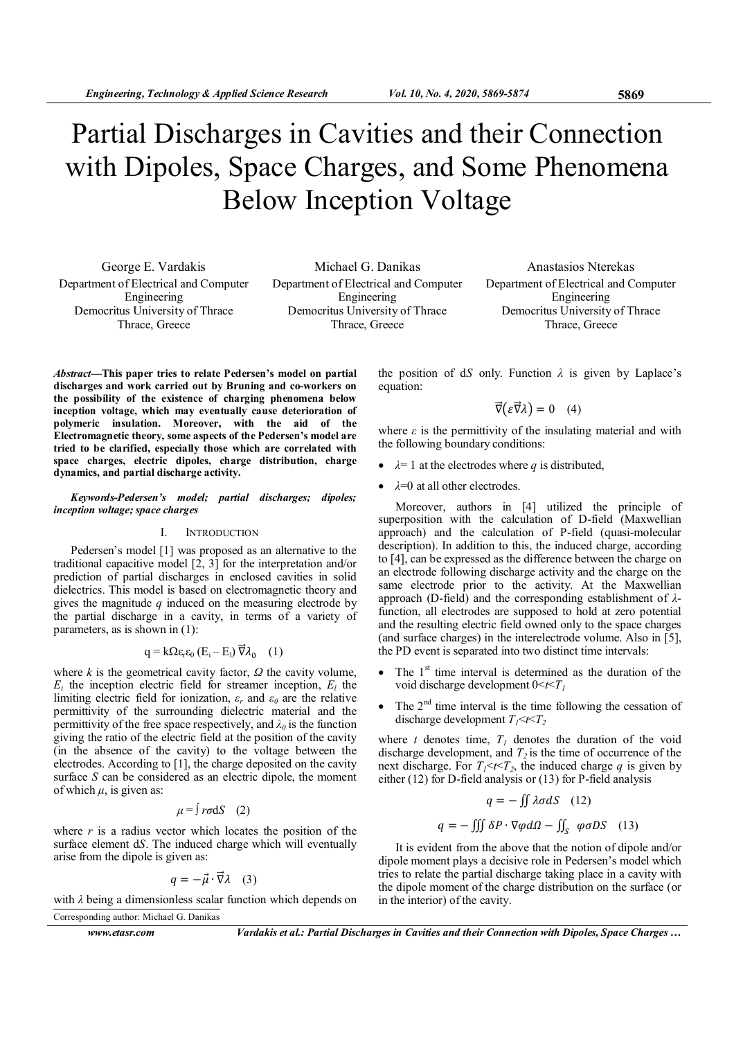# Partial Discharges in Cavities and their Connection with Dipoles, Space Charges, and Some Phenomena Below Inception Voltage

George E. Vardakis Department of Electrical and Computer Engineering Democritus University of Thrace Thrace, Greece

Michael G. Danikas Department of Electrical and Computer Engineering Democritus University of Thrace Thrace, Greece

Anastasios Nterekas Department of Electrical and Computer Engineering Democritus University of Thrace Thrace, Greece

Abstract—This paper tries to relate Pedersen's model on partial discharges and work carried out by Bruning and co-workers on the possibility of the existence of charging phenomena below inception voltage, which may eventually cause deterioration of polymeric insulation. Moreover, with the aid of the Electromagnetic theory, some aspects of the Pedersen's model are tried to be clarified, especially those which are correlated with space charges, electric dipoles, charge distribution, charge dynamics, and partial discharge activity.

Keywords-Pedersen's model; partial discharges; dipoles; inception voltage; space charges

# I. INTRODUCTION

Pedersen's model [1] was proposed as an alternative to the traditional capacitive model [2, 3] for the interpretation and/or prediction of partial discharges in enclosed cavities in solid dielectrics. This model is based on electromagnetic theory and gives the magnitude  $q$  induced on the measuring electrode by the partial discharge in a cavity, in terms of a variety of parameters, as is shown in (1):

$$
q = k\Omega \varepsilon_r \varepsilon_0 (E_i - E_l) \vec{\nabla} \lambda_0 \quad (1)
$$

where k is the geometrical cavity factor,  $\Omega$  the cavity volume,  $E_i$  the inception electric field for streamer inception,  $E_i$  the limiting electric field for ionization,  $\varepsilon_r$  and  $\varepsilon_\theta$  are the relative permittivity of the surrounding dielectric material and the permittivity of the free space respectively, and  $\lambda_0$  is the function giving the ratio of the electric field at the position of the cavity (in the absence of the cavity) to the voltage between the electrodes. According to [1], the charge deposited on the cavity surface S can be considered as an electric dipole, the moment of which  $\mu$ , is given as:

$$
\mu = \int r \sigma \, dS \quad (2)
$$

where  $r$  is a radius vector which locates the position of the surface element dS. The induced charge which will eventually arise from the dipole is given as:

$$
q = -\vec{\mu} \cdot \vec{\nabla} \lambda \quad (3)
$$

with  $\lambda$  being a dimensionless scalar function which depends on Corresponding author: Michael G. Danikas

www.etasr.com Vardakis et al.: Partial Discharges in Cavities and their Connection with Dipoles, Space Charges ...

the position of dS only. Function  $\lambda$  is given by Laplace's equation:

$$
\vec{\nabla}(\varepsilon \vec{\nabla} \lambda) = 0 \quad (4)
$$

where  $\varepsilon$  is the permittivity of the insulating material and with the following boundary conditions:

- $\lambda = 1$  at the electrodes where q is distributed,
- $\lambda$ =0 at all other electrodes.

Moreover, authors in [4] utilized the principle of superposition with the calculation of D-field (Maxwellian approach) and the calculation of P-field (quasi-molecular description). In addition to this, the induced charge, according to [4], can be expressed as the difference between the charge on an electrode following discharge activity and the charge on the same electrode prior to the activity. At the Maxwellian approach (D-field) and the corresponding establishment of  $\lambda$ function, all electrodes are supposed to hold at zero potential and the resulting electric field owned only to the space charges (and surface charges) in the interelectrode volume. Also in [5], the PD event is separated into two distinct time intervals:

- The  $1<sup>st</sup>$  time interval is determined as the duration of the void discharge development  $0 \le t \le T_1$
- The  $2<sup>nd</sup>$  time interval is the time following the cessation of discharge development  $T_1 \le t \le T_2$

where t denotes time,  $T_1$  denotes the duration of the void discharge development, and  $T_2$  is the time of occurrence of the next discharge. For  $T_1 \le t \le T_2$ , the induced charge q is given by either (12) for D-field analysis or (13) for P-field analysis

$$
q = -\iint \lambda \sigma dS \quad (12)
$$

$$
q = -\iiint \delta P \cdot \nabla \varphi d\Omega - \iint_S \varphi \sigma DS \quad (13)
$$

It is evident from the above that the notion of dipole and/or dipole moment plays a decisive role in Pedersen's model which tries to relate the partial discharge taking place in a cavity with the dipole moment of the charge distribution on the surface (or in the interior) of the cavity.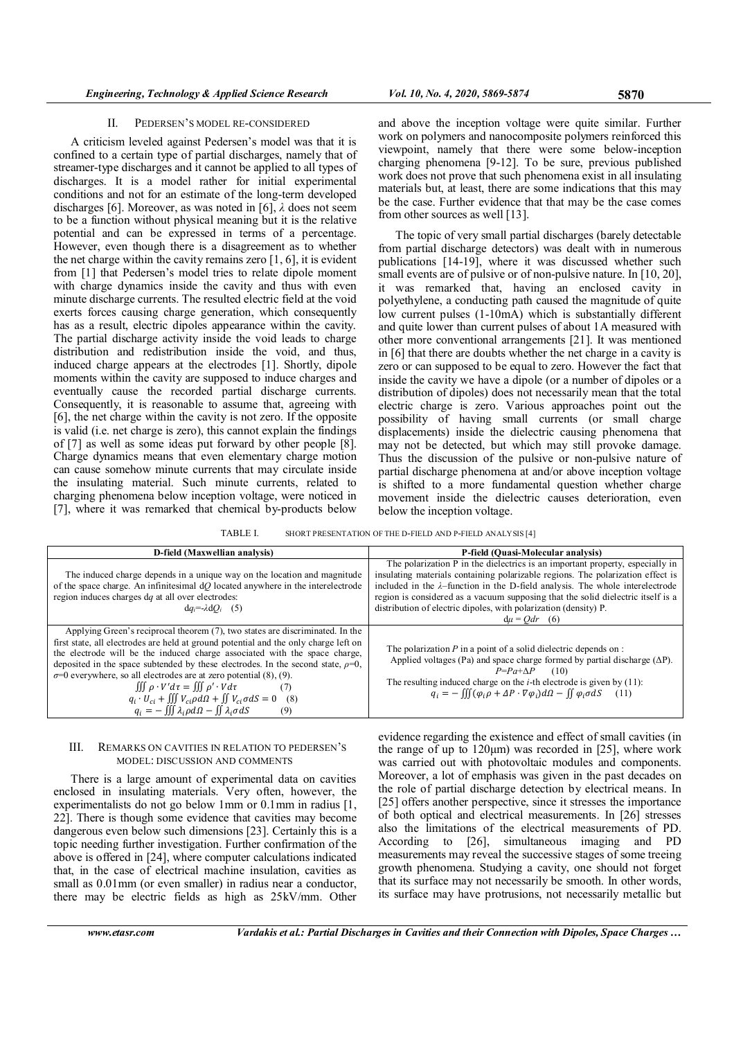A criticism leveled against Pedersen's model was that it is confined to a certain type of partial discharges, namely that of streamer-type discharges and it cannot be applied to all types of discharges. It is a model rather for initial experimental conditions and not for an estimate of the long-term developed discharges [6]. Moreover, as was noted in [6],  $\lambda$  does not seem to be a function without physical meaning but it is the relative potential and can be expressed in terms of a percentage. However, even though there is a disagreement as to whether the net charge within the cavity remains zero [1, 6], it is evident from [1] that Pedersen's model tries to relate dipole moment with charge dynamics inside the cavity and thus with even minute discharge currents. The resulted electric field at the void exerts forces causing charge generation, which consequently has as a result, electric dipoles appearance within the cavity. The partial discharge activity inside the void leads to charge distribution and redistribution inside the void, and thus, induced charge appears at the electrodes [1]. Shortly, dipole moments within the cavity are supposed to induce charges and eventually cause the recorded partial discharge currents. Consequently, it is reasonable to assume that, agreeing with [6], the net charge within the cavity is not zero. If the opposite is valid (i.e. net charge is zero), this cannot explain the findings of [7] as well as some ideas put forward by other people [8]. Charge dynamics means that even elementary charge motion can cause somehow minute currents that may circulate inside the insulating material. Such minute currents, related to charging phenomena below inception voltage, were noticed in [7], where it was remarked that chemical by-products below

and above the inception voltage were quite similar. Further work on polymers and nanocomposite polymers reinforced this viewpoint, namely that there were some below-inception charging phenomena [9-12]. To be sure, previous published work does not prove that such phenomena exist in all insulating materials but, at least, there are some indications that this may be the case. Further evidence that that may be the case comes from other sources as well [13].

The topic of very small partial discharges (barely detectable from partial discharge detectors) was dealt with in numerous publications [14-19], where it was discussed whether such small events are of pulsive or of non-pulsive nature. In [10, 20], it was remarked that, having an enclosed cavity in polyethylene, a conducting path caused the magnitude of quite low current pulses (1-10mA) which is substantially different and quite lower than current pulses of about 1A measured with other more conventional arrangements [21]. It was mentioned in [6] that there are doubts whether the net charge in a cavity is zero or can supposed to be equal to zero. However the fact that inside the cavity we have a dipole (or a number of dipoles or a distribution of dipoles) does not necessarily mean that the total electric charge is zero. Various approaches point out the possibility of having small currents (or small charge displacements) inside the dielectric causing phenomena that may not be detected, but which may still provoke damage. Thus the discussion of the pulsive or non-pulsive nature of partial discharge phenomena at and/or above inception voltage is shifted to a more fundamental question whether charge movement inside the dielectric causes deterioration, even below the inception voltage.

TABLE I. SHORT PRESENTATION OF THE D-FIELD AND P-FIELD ANALYSIS [4]

| D-field (Maxwellian analysis)                                                                                                                                                                                                                                                                                                                                                                                                                                                                                                                                                                                                                                | P-field (Quasi-Molecular analysis)                                                                                                                                                                                                                                                                                                                                                                                                  |
|--------------------------------------------------------------------------------------------------------------------------------------------------------------------------------------------------------------------------------------------------------------------------------------------------------------------------------------------------------------------------------------------------------------------------------------------------------------------------------------------------------------------------------------------------------------------------------------------------------------------------------------------------------------|-------------------------------------------------------------------------------------------------------------------------------------------------------------------------------------------------------------------------------------------------------------------------------------------------------------------------------------------------------------------------------------------------------------------------------------|
| The induced charge depends in a unique way on the location and magnitude<br>of the space charge. An infinitesimal $dQ$ located anywhere in the interelectrode<br>region induces charges dq at all over electrodes:<br>$dq_i = \lambda dQ_i$ (5)                                                                                                                                                                                                                                                                                                                                                                                                              | The polarization P in the dielectrics is an important property, especially in<br>insulating materials containing polarizable regions. The polarization effect is<br>included in the $\lambda$ -function in the D-field analysis. The whole interelectrode<br>region is considered as a vacuum supposing that the solid dielectric itself is a<br>distribution of electric dipoles, with polarization (density) P.<br>$du = Qdr$ (6) |
| Applying Green's reciprocal theorem (7), two states are discriminated. In the<br>first state, all electrodes are held at ground potential and the only charge left on<br>the electrode will be the induced charge associated with the space charge,<br>deposited in the space subtended by these electrodes. In the second state, $\rho=0$ ,<br>$\sigma$ =0 everywhere, so all electrodes are at zero potential (8), (9).<br>$\iiint \rho \cdot V'd\tau = \iiint \rho' \cdot Vd\tau$<br>(7)<br>$q_i \cdot U_{ci} + \iiint V_{ci} \rho d\Omega + \iint V_{ci} \sigma dS = 0$ (8)<br>$q_i = -\iiint \lambda_i \rho d\Omega - \iint \lambda_i \sigma dS$<br>(9) | The polarization $P$ in a point of a solid dielectric depends on :<br>Applied voltages (Pa) and space charge formed by partial discharge $(\Delta P)$ .<br>$P = Pa + \Delta P$ (10)<br>The resulting induced charge on the <i>i</i> -th electrode is given by $(11)$ :<br>$q_i = -\iiint (\varphi_i \rho + \Delta P \cdot \nabla \varphi_i) d\Omega - \iint \varphi_i \sigma dS$ (11)                                               |

### III. REMARKS ON CAVITIES IN RELATION TO PEDERSEN'S MODEL: DISCUSSION AND COMMENTS

There is a large amount of experimental data on cavities enclosed in insulating materials. Very often, however, the experimentalists do not go below 1mm or 0.1mm in radius [1, 22]. There is though some evidence that cavities may become dangerous even below such dimensions [23]. Certainly this is a topic needing further investigation. Further confirmation of the above is offered in [24], where computer calculations indicated that, in the case of electrical machine insulation, cavities as small as  $0.01$  mm (or even smaller) in radius near a conductor, there may be electric fields as high as 25kV/mm. Other

evidence regarding the existence and effect of small cavities (in the range of up to  $120 \mu m$ ) was recorded in [25], where work was carried out with photovoltaic modules and components. Moreover, a lot of emphasis was given in the past decades on the role of partial discharge detection by electrical means. In [25] offers another perspective, since it stresses the importance of both optical and electrical measurements. In [26] stresses also the limitations of the electrical measurements of PD. According to [26], simultaneous imaging and PD measurements may reveal the successive stages of some treeing growth phenomena. Studying a cavity, one should not forget that its surface may not necessarily be smooth. In other words, its surface may have protrusions, not necessarily metallic but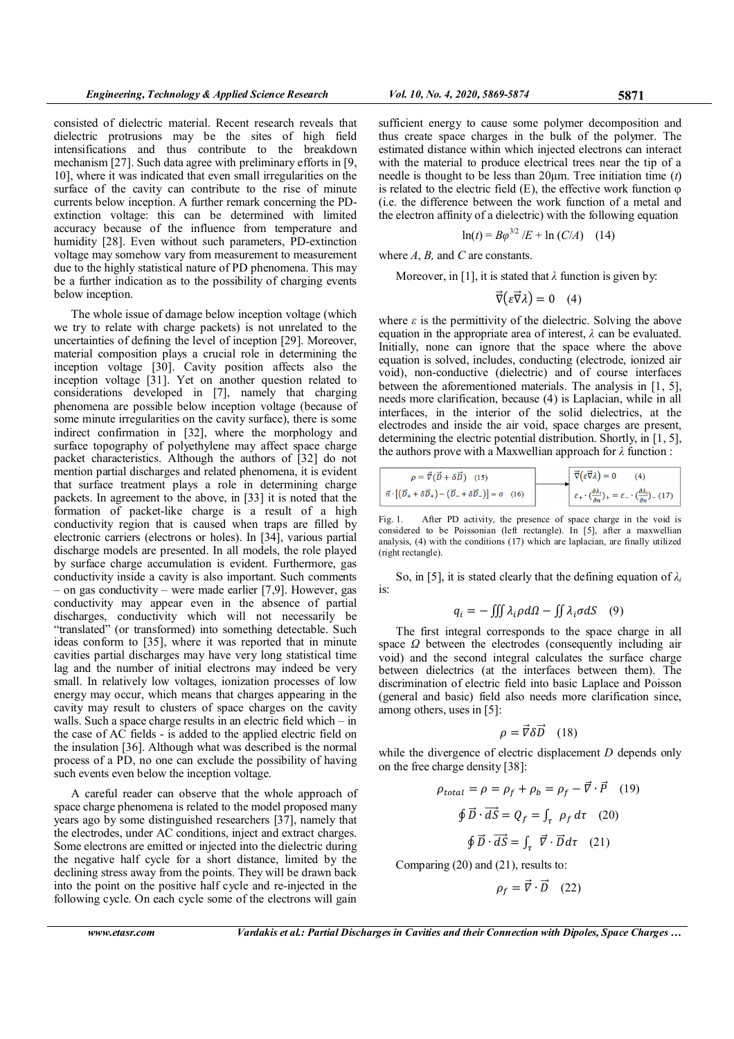consisted of dielectric material. Recent research reveals that dielectric protrusions may be the sites of high field intensifications and thus contribute to the breakdown mechanism [27]. Such data agree with preliminary efforts in [9, 10], where it was indicated that even small irregularities on the surface of the cavity can contribute to the rise of minute currents below inception. A further remark concerning the PDextinction voltage: this can be determined with limited accuracy because of the influence from temperature and humidity [28]. Even without such parameters, PD-extinction voltage may somehow vary from measurement to measurement due to the highly statistical nature of PD phenomena. This may be a further indication as to the possibility of charging events below inception.

The whole issue of damage below inception voltage (which we try to relate with charge packets) is not unrelated to the uncertainties of defining the level of inception [29]. Moreover, material composition plays a crucial role in determining the inception voltage [30]. Cavity position affects also the inception voltage [31]. Yet on another question related to considerations developed in [7], namely that charging phenomena are possible below inception voltage (because of some minute irregularities on the cavity surface), there is some indirect confirmation in [32], where the morphology and surface topography of polyethylene may affect space charge packet characteristics. Although the authors of [32] do not mention partial discharges and related phenomena, it is evident that surface treatment plays a role in determining charge packets. In agreement to the above, in [33] it is noted that the formation of packet-like charge is a result of a high conductivity region that is caused when traps are filled by electronic carriers (electrons or holes). In [34], various partial discharge models are presented. In all models, the role played by surface charge accumulation is evident. Furthermore, gas conductivity inside a cavity is also important. Such comments – on gas conductivity – were made earlier [7,9]. However, gas conductivity may appear even in the absence of partial discharges, conductivity which will not necessarily be "translated" (or transformed) into something detectable. Such ideas conform to [35], where it was reported that in minute cavities partial discharges may have very long statistical time lag and the number of initial electrons may indeed be very small. In relatively low voltages, ionization processes of low energy may occur, which means that charges appearing in the cavity may result to clusters of space charges on the cavity walls. Such a space charge results in an electric field which – in the case of AC fields - is added to the applied electric field on the insulation [36]. Although what was described is the normal process of a PD, no one can exclude the possibility of having such events even below the inception voltage.

A careful reader can observe that the whole approach of space charge phenomena is related to the model proposed many years ago by some distinguished researchers [37], namely that the electrodes, under AC conditions, inject and extract charges. Some electrons are emitted or injected into the dielectric during the negative half cycle for a short distance, limited by the declining stress away from the points. They will be drawn back into the point on the positive half cycle and re-injected in the following cycle. On each cycle some of the electrons will gain

sufficient energy to cause some polymer decomposition and thus create space charges in the bulk of the polymer. The estimated distance within which injected electrons can interact with the material to produce electrical trees near the tip of a needle is thought to be less than  $20\mu$ m. Tree initiation time (t) is related to the electric field  $(E)$ , the effective work function  $\varphi$ (i.e. the difference between the work function of a metal and the electron affinity of a dielectric) with the following equation

$$
\ln(t) = B\varphi^{3/2}/E + \ln(C/A) \quad (14)
$$

where 
$$
A
$$
,  $B$ , and  $C$  are constants.

Moreover, in [1], it is stated that  $\lambda$  function is given by:

$$
\vec{\nabla}(\varepsilon \vec{\nabla} \lambda) = 0 \quad (4)
$$

where  $\varepsilon$  is the permittivity of the dielectric. Solving the above equation in the appropriate area of interest,  $\lambda$  can be evaluated. Initially, none can ignore that the space where the above equation is solved, includes, conducting (electrode, ionized air void), non-conductive (dielectric) and of course interfaces between the aforementioned materials. The analysis in [1, 5], needs more clarification, because (4) is Laplacian, while in all interfaces, in the interior of the solid dielectrics, at the electrodes and inside the air void, space charges are present, determining the electric potential distribution. Shortly, in [1, 5], the authors prove with a Maxwellian approach for  $\lambda$  function :

$$
\overrightarrow{\vec{v}(\vec{v}+\delta\vec{D})}
$$
 (15)  

$$
\overrightarrow{\vec{v}(\varepsilon\vec{v}\lambda)}=0
$$
 (4)  

$$
\overrightarrow{\vec{v}(\varepsilon\vec{v}\lambda)}=0
$$
 (4)  

$$
\varepsilon_{+} \cdot (\frac{\partial \lambda_{i}}{\partial n})_{+} = \varepsilon_{-} \cdot (\frac{\partial \lambda_{i}}{\partial n})_{-} (17)
$$

Fig. 1. After PD activity, the presence of space charge in the void is considered to be Poissonian (left rectangle). In [5], after a maxwellian analysis, (4) with the conditions (17) which are laplacian, are finally utilized (right rectangle).

So, in [5], it is stated clearly that the defining equation of  $\lambda_i$ is:

$$
q_i = -\iiint \lambda_i \rho d\Omega - \iint \lambda_i \sigma dS \quad (9)
$$

The first integral corresponds to the space charge in all space  $\Omega$  between the electrodes (consequently including air void) and the second integral calculates the surface charge between dielectrics (at the interfaces between them). The discrimination of electric field into basic Laplace and Poisson (general and basic) field also needs more clarification since, among others, uses in [5]:

$$
\rho = \vec{\nabla} \delta \vec{D} \quad (18)
$$

while the divergence of electric displacement D depends only on the free charge density [38]:

$$
\rho_{total} = \rho = \rho_f + \rho_b = \rho_f - \vec{\nabla} \cdot \vec{P} \quad (19)
$$

$$
\oint \vec{D} \cdot \vec{dS} = Q_f = \int_{\tau} \rho_f d\tau \quad (20)
$$

$$
\oint \vec{D} \cdot \vec{dS} = \int_{\tau} \vec{\nabla} \cdot \vec{D} d\tau \quad (21)
$$

Comparing (20) and (21), results to:

 $\rho_f = \vec{V} \cdot \vec{D}$  (22)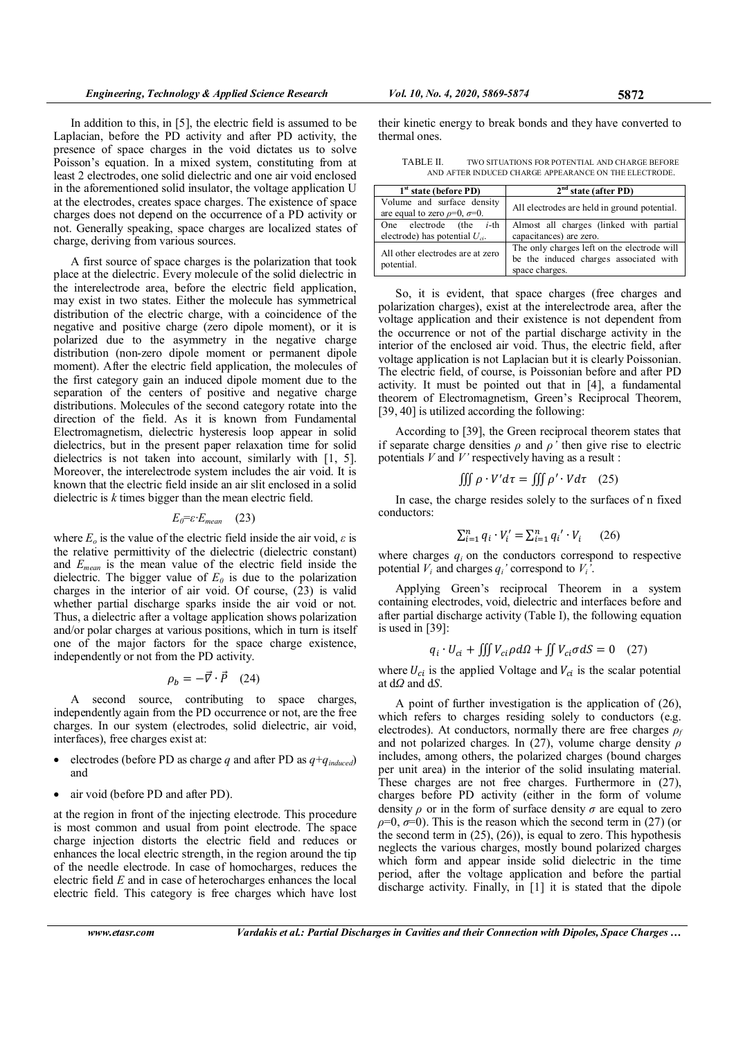In addition to this, in [5], the electric field is assumed to be Laplacian, before the PD activity and after PD activity, the presence of space charges in the void dictates us to solve Poisson's equation. In a mixed system, constituting from at least 2 electrodes, one solid dielectric and one air void enclosed in the aforementioned solid insulator, the voltage application U at the electrodes, creates space charges. The existence of space charges does not depend on the occurrence of a PD activity or not. Generally speaking, space charges are localized states of charge, deriving from various sources.

A first source of space charges is the polarization that took place at the dielectric. Every molecule of the solid dielectric in the interelectrode area, before the electric field application, may exist in two states. Either the molecule has symmetrical distribution of the electric charge, with a coincidence of the negative and positive charge (zero dipole moment), or it is polarized due to the asymmetry in the negative charge distribution (non-zero dipole moment or permanent dipole moment). After the electric field application, the molecules of the first category gain an induced dipole moment due to the separation of the centers of positive and negative charge distributions. Molecules of the second category rotate into the direction of the field. As it is known from Fundamental Electromagnetism, dielectric hysteresis loop appear in solid dielectrics, but in the present paper relaxation time for solid dielectrics is not taken into account, similarly with [1, 5]. Moreover, the interelectrode system includes the air void. It is known that the electric field inside an air slit enclosed in a solid dielectric is k times bigger than the mean electric field.

# $E_0 = \varepsilon \cdot E_{mean}$  (23)

where  $E_0$  is the value of the electric field inside the air void,  $\varepsilon$  is the relative permittivity of the dielectric (dielectric constant) and  $E_{mean}$  is the mean value of the electric field inside the dielectric. The bigger value of  $E_0$  is due to the polarization charges in the interior of air void. Of course, (23) is valid whether partial discharge sparks inside the air void or not. Thus, a dielectric after a voltage application shows polarization and/or polar charges at various positions, which in turn is itself one of the major factors for the space charge existence, independently or not from the PD activity.

$$
\rho_b = -\vec{\nabla} \cdot \vec{P} \quad (24)
$$

A second source, contributing to space charges, independently again from the PD occurrence or not, are the free charges. In our system (electrodes, solid dielectric, air void, interfaces), free charges exist at:

- electrodes (before PD as charge q and after PD as  $q + q_{induced}$ ) and
- air void (before PD and after PD).

at the region in front of the injecting electrode. This procedure is most common and usual from point electrode. The space charge injection distorts the electric field and reduces or enhances the local electric strength, in the region around the tip of the needle electrode. In case of homocharges, reduces the electric field  $E$  and in case of heterocharges enhances the local electric field. This category is free charges which have lost their kinetic energy to break bonds and they have converted to thermal ones.

TABLE II. TWO SITUATIONS FOR POTENTIAL AND CHARGE BEFORE AND AFTER INDUCED CHARGE APPEARANCE ON THE ELECTRODE.

| $1st$ state (before PD)                                                 | 2 <sup>nd</sup> state (after PD)                                                                        |
|-------------------------------------------------------------------------|---------------------------------------------------------------------------------------------------------|
| Volume and surface density<br>are equal to zero $\rho=0$ , $\sigma=0$ . | All electrodes are held in ground potential.                                                            |
| One electrode (the $i$ -th<br>electrode) has potential $U_{ci}$ .       | Almost all charges (linked with partial<br>capacitances) are zero.                                      |
| All other electrodes are at zero<br>potential.                          | The only charges left on the electrode will<br>be the induced charges associated with<br>space charges. |

So, it is evident, that space charges (free charges and polarization charges), exist at the interelectrode area, after the voltage application and their existence is not dependent from the occurrence or not of the partial discharge activity in the interior of the enclosed air void. Thus, the electric field, after voltage application is not Laplacian but it is clearly Poissonian. The electric field, of course, is Poissonian before and after PD activity. It must be pointed out that in [4], a fundamental theorem of Electromagnetism, Green's Reciprocal Theorem, [39, 40] is utilized according the following:

According to [39], the Green reciprocal theorem states that if separate charge densities  $\rho$  and  $\rho'$  then give rise to electric potentials  $V$  and  $V$ ' respectively having as a result :

$$
\iiint \rho \cdot V' d\tau = \iiint \rho' \cdot V d\tau \quad (25)
$$

In case, the charge resides solely to the surfaces of n fixed conductors:

$$
\sum_{i=1}^{n} q_i \cdot V'_i = \sum_{i=1}^{n} q_i' \cdot V_i \qquad (26)
$$

where charges  $q_i$  on the conductors correspond to respective potential  $V_i$  and charges  $q_i$ ' correspond to  $V_i'$ .

Applying Green's reciprocal Theorem in a system containing electrodes, void, dielectric and interfaces before and after partial discharge activity (Table I), the following equation is used in [39]:

$$
q_i \cdot U_{ci} + \iiint V_{ci} \rho d\Omega + \iint V_{ci} \sigma dS = 0 \quad (27)
$$

where  $U_{ci}$  is the applied Voltage and  $V_{ci}$  is the scalar potential at  $dQ$  and  $dS$ .

A point of further investigation is the application of (26), which refers to charges residing solely to conductors (e.g. electrodes). At conductors, normally there are free charges  $\rho_f$ and not polarized charges. In (27), volume charge density  $\rho$ includes, among others, the polarized charges (bound charges per unit area) in the interior of the solid insulating material. These charges are not free charges. Furthermore in (27), charges before PD activity (either in the form of volume density  $\rho$  or in the form of surface density  $\sigma$  are equal to zero  $\rho=0$ ,  $\sigma=0$ ). This is the reason which the second term in (27) (or the second term in  $(25)$ ,  $(26)$ ), is equal to zero. This hypothesis neglects the various charges, mostly bound polarized charges which form and appear inside solid dielectric in the time period, after the voltage application and before the partial discharge activity. Finally, in [1] it is stated that the dipole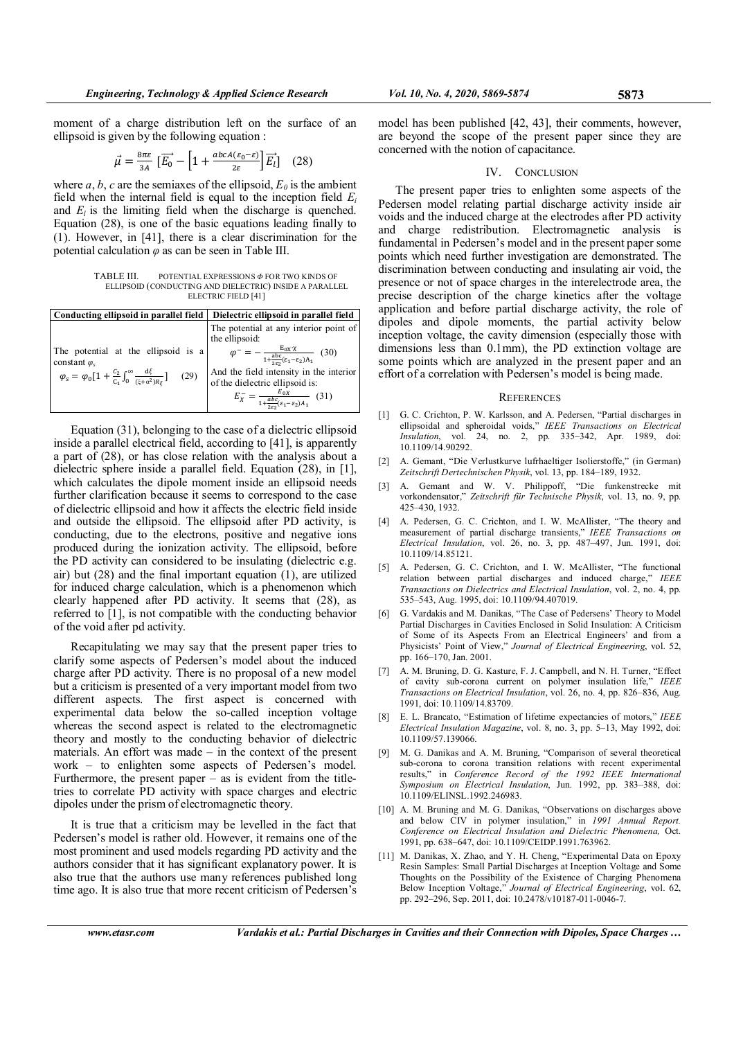moment of a charge distribution left on the surface of an ellipsoid is given by the following equation :

$$
\vec{\mu} = \frac{8\pi\varepsilon}{3A} \left[ \overrightarrow{E_0} - \left[ 1 + \frac{abcA(\varepsilon_0 - \varepsilon)}{2\varepsilon} \right] \overrightarrow{E_l} \right] \tag{28}
$$

where a, b, c are the semiaxes of the ellipsoid,  $E_0$  is the ambient field when the internal field is equal to the inception field  $E_i$ and  $E_l$  is the limiting field when the discharge is quenched. Equation (28), is one of the basic equations leading finally to (1). However, in [41], there is a clear discrimination for the potential calculation  $\varphi$  as can be seen in Table III.

TABLE III. POTENTIAL EXPRESSIONS Φ FOR TWO KINDS OF ELLIPSOID (CONDUCTING AND DIELECTRIC) INSIDE A PARALLEL ELECTRIC FIELD [41]

| Conducting ellipsoid in parallel field                                                                                                                                             | Dielectric ellipsoid in parallel field                                                                  |
|------------------------------------------------------------------------------------------------------------------------------------------------------------------------------------|---------------------------------------------------------------------------------------------------------|
| The potential at the ellipsoid is a<br>constant $\varphi_s$<br>$\varphi_s = \varphi_0 \left[ 1 + \frac{c_2}{c_1} \int_0^\infty \frac{d\xi}{(\xi + \alpha^2) R_{\xi}} \right]$ (29) | The potential at any interior point of<br>the ellipsoid:                                                |
|                                                                                                                                                                                    | $\varphi^{-} = -\frac{E_{0X} \cdot \chi}{1 + \frac{abc}{2\epsilon_2}(\epsilon_1 - \epsilon_2)A_1}$ (30) |
|                                                                                                                                                                                    | And the field intensity in the interior                                                                 |
|                                                                                                                                                                                    | of the dielectric ellipsoid is:                                                                         |
|                                                                                                                                                                                    | $E_X^- = \frac{E_{0X}}{1 + \frac{abc}{2\varepsilon_2}(\varepsilon_1 - \varepsilon_2)A_1}$ (31)          |

Equation (31), belonging to the case of a dielectric ellipsoid inside a parallel electrical field, according to [41], is apparently a part of (28), or has close relation with the analysis about a dielectric sphere inside a parallel field. Equation (28), in [1], which calculates the dipole moment inside an ellipsoid needs further clarification because it seems to correspond to the case of dielectric ellipsoid and how it affects the electric field inside and outside the ellipsoid. The ellipsoid after PD activity, is conducting, due to the electrons, positive and negative ions produced during the ionization activity. The ellipsoid, before the PD activity can considered to be insulating (dielectric e.g. air) but (28) and the final important equation (1), are utilized for induced charge calculation, which is a phenomenon which clearly happened after PD activity. It seems that (28), as referred to [1], is not compatible with the conducting behavior of the void after pd activity.

Recapitulating we may say that the present paper tries to clarify some aspects of Pedersen's model about the induced charge after PD activity. There is no proposal of a new model but a criticism is presented of a very important model from two different aspects. The first aspect is concerned with experimental data below the so-called inception voltage whereas the second aspect is related to the electromagnetic theory and mostly to the conducting behavior of dielectric materials. An effort was made – in the context of the present work – to enlighten some aspects of Pedersen's model. Furthermore, the present paper  $-$  as is evident from the titletries to correlate PD activity with space charges and electric dipoles under the prism of electromagnetic theory.

It is true that a criticism may be levelled in the fact that Pedersen's model is rather old. However, it remains one of the most prominent and used models regarding PD activity and the authors consider that it has significant explanatory power. It is also true that the authors use many references published long time ago. It is also true that more recent criticism of Pedersen's model has been published [42, 43], their comments, however, are beyond the scope of the present paper since they are concerned with the notion of capacitance.

#### IV. CONCLUSION

The present paper tries to enlighten some aspects of the Pedersen model relating partial discharge activity inside air voids and the induced charge at the electrodes after PD activity and charge redistribution. Electromagnetic analysis is fundamental in Pedersen's model and in the present paper some points which need further investigation are demonstrated. The discrimination between conducting and insulating air void, the presence or not of space charges in the interelectrode area, the precise description of the charge kinetics after the voltage application and before partial discharge activity, the role of dipoles and dipole moments, the partial activity below inception voltage, the cavity dimension (especially those with dimensions less than 0.1mm), the PD extinction voltage are some points which are analyzed in the present paper and an effort of a correlation with Pedersen's model is being made.

### **REFERENCES**

- [1] G. C. Crichton, P. W. Karlsson, and A. Pedersen, "Partial discharges in ellipsoidal and spheroidal voids," IEEE Transactions on Electrical Insulation, vol. 24, no. 2, pp. 335–342, Apr. 1989, doi: 10.1109/14.90292.
- [2] A. Gemant, "Die Verlustkurve lufrhaeltiger Isolierstoffe," (in German) Zeitschrift Dertechnischen Physik, vol. 13, pp. 184–189, 1932.
- [3] A. Gemant and W. V. Philippoff, "Die funkenstrecke mit vorkondensator," Zeitschrift für Technische Physik, vol. 13, no. 9, pp. 425–430, 1932.
- [4] A. Pedersen, G. C. Crichton, and I. W. McAllister, "The theory and measurement of partial discharge transients," IEEE Transactions on Electrical Insulation, vol. 26, no. 3, pp. 487–497, Jun. 1991, doi: 10.1109/14.85121.
- [5] A. Pedersen, G. C. Crichton, and I. W. McAllister, "The functional relation between partial discharges and induced charge," IEEE Transactions on Dielectrics and Electrical Insulation, vol. 2, no. 4, pp. 535–543, Aug. 1995, doi: 10.1109/94.407019.
- [6] G. Vardakis and M. Danikas, "The Case of Pedersens' Theory to Model Partial Discharges in Cavities Enclosed in Solid Insulation: A Criticism of Some of its Aspects From an Electrical Engineers' and from a Physicists' Point of View," Journal of Electrical Engineering, vol. 52, pp. 166–170, Jan. 2001.
- [7] A. M. Bruning, D. G. Kasture, F. J. Campbell, and N. H. Turner, "Effect of cavity sub-corona current on polymer insulation life," IEEE Transactions on Electrical Insulation, vol. 26, no. 4, pp. 826–836, Aug. 1991, doi: 10.1109/14.83709.
- [8] E. L. Brancato, "Estimation of lifetime expectancies of motors," IEEE Electrical Insulation Magazine, vol. 8, no. 3, pp. 5–13, May 1992, doi: 10.1109/57.139066.
- [9] M. G. Danikas and A. M. Bruning, "Comparison of several theoretical sub-corona to corona transition relations with recent experimental results," in Conference Record of the 1992 IEEE International Symposium on Electrical Insulation, Jun. 1992, pp. 383–388, doi: 10.1109/ELINSL.1992.246983.
- [10] A. M. Bruning and M. G. Danikas, "Observations on discharges above and below CIV in polymer insulation," in 1991 Annual Report. Conference on Electrical Insulation and Dielectric Phenomena, Oct. 1991, pp. 638–647, doi: 10.1109/CEIDP.1991.763962.
- [11] M. Danikas, X. Zhao, and Y. H. Cheng, "Experimental Data on Epoxy Resin Samples: Small Partial Discharges at Inception Voltage and Some Thoughts on the Possibility of the Existence of Charging Phenomena Below Inception Voltage," Journal of Electrical Engineering, vol. 62, pp. 292–296, Sep. 2011, doi: 10.2478/v10187-011-0046-7.